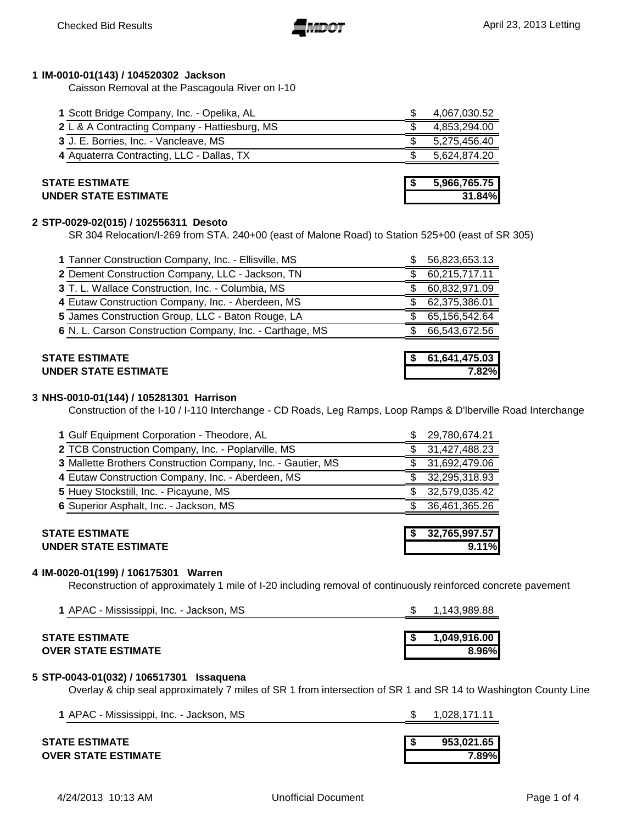# **1 IM-0010-01(143) / 104520302 Jackson**

Caisson Removal at the Pascagoula River on I-10

| <b>STATE ESTIMATE</b>                         | 5,966,765.75 |
|-----------------------------------------------|--------------|
| 4 Aquaterra Contracting, LLC - Dallas, TX     | 5,624,874.20 |
| 3 J. E. Borries, Inc. - Vancleave, MS         | 5,275,456.40 |
| 2 L & A Contracting Company - Hattiesburg, MS | 4,853,294.00 |
| 1 Scott Bridge Company, Inc. - Opelika, AL    | 4,067,030.52 |

| SIAIE ESIIMAIE              | 3.900.703.73 |
|-----------------------------|--------------|
| <b>UNDER STATE ESTIMATE</b> | 31.84%       |

# **2 STP-0029-02(015) / 102556311 Desoto**

SR 304 Relocation/I-269 from STA. 240+00 (east of Malone Road) to Station 525+00 (east of SR 305)

| 3 T. L. Wallace Construction, Inc. - Columbia, MS<br>4 Eutaw Construction Company, Inc. - Aberdeen, MS | 60,832,971.09<br>62,375,386.01 |
|--------------------------------------------------------------------------------------------------------|--------------------------------|
| 5 James Construction Group, LLC - Baton Rouge, LA                                                      | 65,156,542.64                  |
| 6 N. L. Carson Construction Company, Inc. - Carthage, MS                                               | 66,543,672.56                  |

# **UNDER STATE ESTIMATE 7.82%**

### **3 NHS-0010-01(144) / 105281301 Harrison**

Construction of the I-10 / I-110 Interchange - CD Roads, Leg Ramps, Loop Ramps & D'lberville Road Interchange

| 1 Gulf Equipment Corporation - Theodore, AL                                                                                                           | 29,780,674.21          |
|-------------------------------------------------------------------------------------------------------------------------------------------------------|------------------------|
| 2 TCB Construction Company, Inc. - Poplarville, MS                                                                                                    | 31,427,488.23          |
| 3 Mallette Brothers Construction Company, Inc. - Gautier, MS                                                                                          | 31,692,479.06          |
| 4 Eutaw Construction Company, Inc. - Aberdeen, MS                                                                                                     | 32,295,318.93          |
| 5 Huey Stockstill, Inc. - Picayune, MS                                                                                                                | 32,579,035.42          |
| 6 Superior Asphalt, Inc. - Jackson, MS                                                                                                                | 36,461,365.26          |
| <b>STATE ESTIMATE</b><br><b>UNDER STATE ESTIMATE</b>                                                                                                  | 32,765,997.57<br>9.11% |
| 4 IM-0020-01(199) / 106175301 Warren<br>Reconstruction of approximately 1 mile of I-20 including removal of continuously reinforced concrete pavement |                        |

# **STATE ESTIMATE \$ 1,049,916.00 OVER STATE ESTIMATE 8.96%**

# **5 STP-0043-01(032) / 106517301 Issaquena**

Overlay & chip seal approximately 7 miles of SR 1 from intersection of SR 1 and SR 14 to Washington County Line

| 1 APAC - Mississippi, Inc. - Jackson, MS | 1,028,171.11 |
|------------------------------------------|--------------|
| STATE ESTIMATE                           | 953.021.65   |
| <b>OVER STATE ESTIMATE</b>               | 7.89%l       |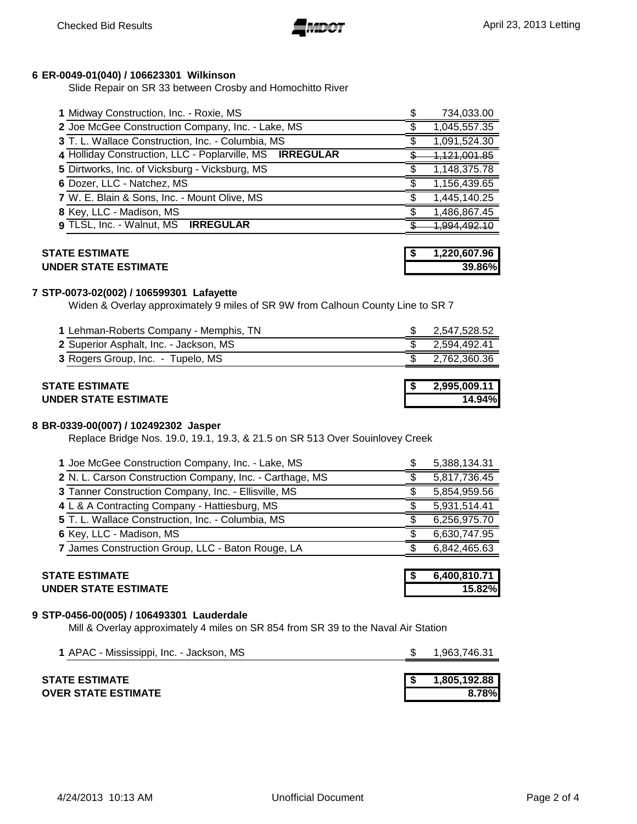

#### **ER-0049-01(040) / 106623301 Wilkinson**

Slide Repair on SR 33 between Crosby and Homochitto River

| 1 Midway Construction, Inc. - Roxie, MS                  | 734,033.00              |
|----------------------------------------------------------|-------------------------|
| 2 Joe McGee Construction Company, Inc. - Lake, MS        | 1,045,557.35            |
| 3 T. L. Wallace Construction, Inc. - Columbia, MS        | 1,091,524.30            |
| 4 Holliday Construction, LLC - Poplarville, MS IRREGULAR | <del>1,121,001.85</del> |
| 5 Dirtworks, Inc. of Vicksburg - Vicksburg, MS           | 1,148,375.78            |
| 6 Dozer, LLC - Natchez, MS                               | 1,156,439.65            |
| 7 W. E. Blain & Sons, Inc. - Mount Olive, MS             | 1,445,140.25            |
| 8 Key, LLC - Madison, MS                                 | 1,486,867.45            |
| 9 TLSL, Inc. - Walnut, MS IRREGULAR                      |                         |

#### **STATE ESTIMATE \$ UNDER STATE ESTIMATE 39.86%**

| , 220,607.96 <b>,</b> |
|-----------------------|
| 39.86%L               |

#### **STP-0073-02(002) / 106599301 Lafayette**

Widen & Overlay approximately 9 miles of SR 9W from Calhoun County Line to SR 7

| <b>STATE ESTIMATE</b>                  | 2,995,009.11 |
|----------------------------------------|--------------|
| 3 Rogers Group, Inc. - Tupelo, MS      | 2,762,360.36 |
| 2 Superior Asphalt, Inc. - Jackson, MS | 2.594.492.41 |
| 1 Lehman-Roberts Company - Memphis, TN | 2,547,528.52 |

# **UNDER STATE ESTIMATE 14.94%**

#### **BR-0339-00(007) / 102492302 Jasper**

Replace Bridge Nos. 19.0, 19.1, 19.3, & 21.5 on SR 513 Over Souinlovey Creek

| 1 Joe McGee Construction Company, Inc. - Lake, MS        | 5,388,134.31 |
|----------------------------------------------------------|--------------|
| 2 N. L. Carson Construction Company, Inc. - Carthage, MS | 5,817,736.45 |
| 3 Tanner Construction Company, Inc. - Ellisville, MS     | 5,854,959.56 |
| 4 L & A Contracting Company - Hattiesburg, MS            | 5,931,514.41 |
| 5 T. L. Wallace Construction, Inc. - Columbia, MS        | 6,256,975.70 |
| 6 Key, LLC - Madison, MS                                 | 6,630,747.95 |
| 7 James Construction Group, LLC - Baton Rouge, LA        | 6,842,465.63 |
|                                                          |              |

#### **STATE ESTIMATE \$ 6,400,810.71 UNDER STATE ESTIMATE 15.82%**

#### **STP-0456-00(005) / 106493301 Lauderdale**

Mill & Overlay approximately 4 miles on SR 854 from SR 39 to the Naval Air Station

| 1 APAC - Mississippi, Inc. - Jackson, MS | 1.963.746.31 |
|------------------------------------------|--------------|
|                                          |              |
| STATE ESTIMATE                           | 1,805,192.88 |
| <b>OVER STATE ESTIMATE</b>               | 8.78%        |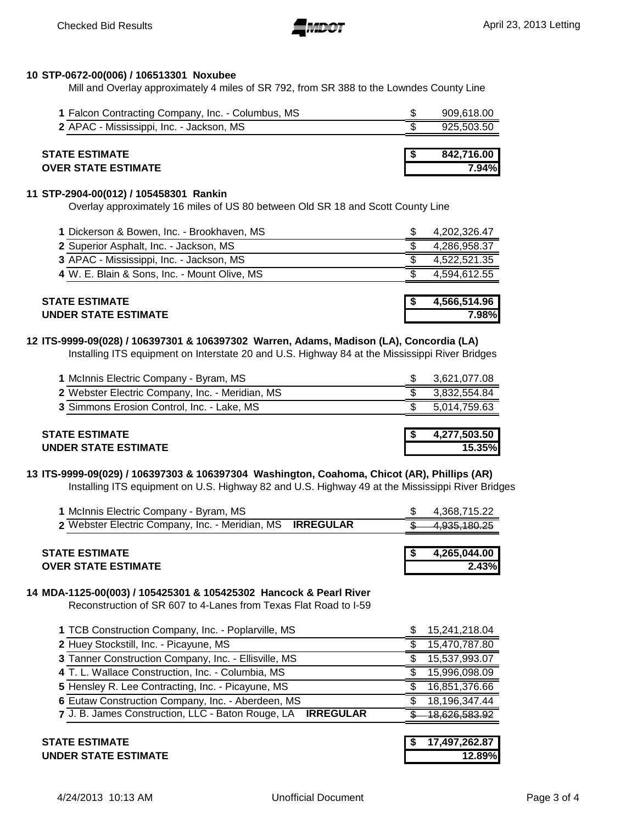

# **10 STP-0672-00(006) / 106513301 Noxubee**

Mill and Overlay approximately 4 miles of SR 792, from SR 388 to the Lowndes County Line

| 1 Falcon Contracting Company, Inc. - Columbus, MS |  | 909,618.00 |
|---------------------------------------------------|--|------------|
| 2 APAC - Mississippi, Inc. - Jackson, MS          |  | 925,503.50 |
|                                                   |  |            |
| <b>STATE ESTIMATE</b>                             |  | 842,716.00 |
| <b>OVER STATE ESTIMATE</b>                        |  | 7.94%I     |

#### **11 STP-2904-00(012) / 105458301 Rankin**

Overlay approximately 16 miles of US 80 between Old SR 18 and Scott County Line

| <b>STATE ESTIMATE</b>                        | 4,566,514.96 |
|----------------------------------------------|--------------|
| 4 W. E. Blain & Sons, Inc. - Mount Olive, MS | 4.594.612.55 |
| 3 APAC - Mississippi, Inc. - Jackson, MS     | 4,522,521.35 |
| 2 Superior Asphalt, Inc. - Jackson, MS       | 4,286,958.37 |
| 1 Dickerson & Bowen, Inc. - Brookhaven, MS   | 4,202,326.47 |

# **UNDER STATE ESTIMATE 7.98%**

# **12 ITS-9999-09(028) / 106397301 & 106397302 Warren, Adams, Madison (LA), Concordia (LA)**

Installing ITS equipment on Interstate 20 and U.S. Highway 84 at the Mississippi River Bridges

| STATE ESTIMATE                                  | 4,277,503.50 |
|-------------------------------------------------|--------------|
|                                                 |              |
| 3 Simmons Erosion Control, Inc. - Lake, MS      | 5,014,759.63 |
| 2 Webster Electric Company, Inc. - Meridian, MS | 3.832.554.84 |
| 1 McInnis Electric Company - Byram, MS          | 3,621,077.08 |

#### **13 ITS-9999-09(029) / 106397303 & 106397304 Washington, Coahoma, Chicot (AR), Phillips (AR)**  Installing ITS equipment on U.S. Highway 82 and U.S. Highway 49 at the Mississippi River Bridges

**UNDER STATE ESTIMATE 15.35%**

| 1 McInnis Electric Company - Byram, MS                    |  | 4.368.715.22 |
|-----------------------------------------------------------|--|--------------|
| 2 Webster Electric Company, Inc. - Meridian, MS IRREGULAR |  | 4,935,180.25 |
|                                                           |  |              |

|                            | 4.265.044.00 |
|----------------------------|--------------|
| <b>OVER STATE ESTIMATE</b> | 2.43%        |

### **14 MDA-1125-00(003) / 105425301 & 105425302 Hancock & Pearl River**

Reconstruction of SR 607 to 4-Lanes from Texas Flat Road to I-59

| 1 TCB Construction Company, Inc. - Poplarville, MS          | 15,241,218.04 |
|-------------------------------------------------------------|---------------|
| 2 Huey Stockstill, Inc. - Picayune, MS                      | 15,470,787.80 |
| 3 Tanner Construction Company, Inc. - Ellisville, MS        | 15,537,993.07 |
| 4 T. L. Wallace Construction, Inc. - Columbia, MS           | 15,996,098.09 |
| 5 Hensley R. Lee Contracting, Inc. - Picayune, MS           | 16,851,376.66 |
| 6 Eutaw Construction Company, Inc. - Aberdeen, MS           | 18,196,347.44 |
| 7 J. B. James Construction, LLC - Baton Rouge, LA IRREGULAR | 18.626.583.92 |
|                                                             |               |

### **STATE ESTIMATE UNDER STATE ESTIMATE 12.89%**

| s | 17,497,262.87 |
|---|---------------|
|   | 12.89%        |